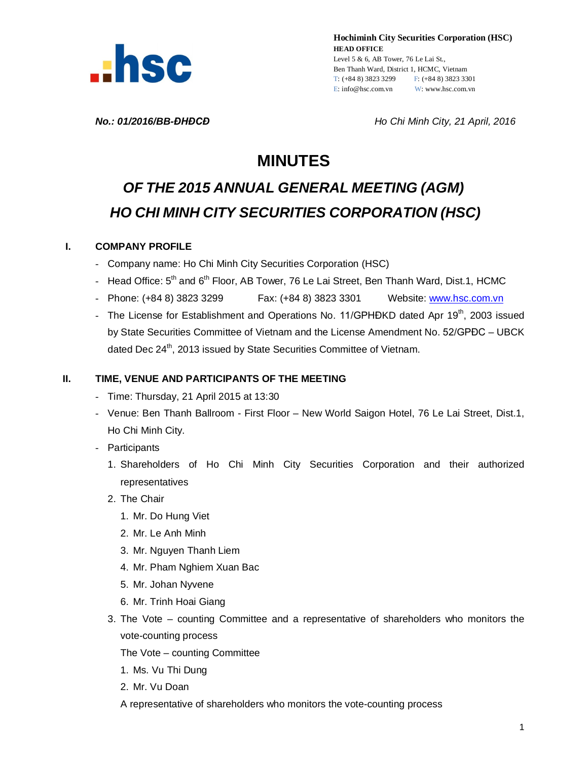

**Hochiminh City Securities Corporation (HSC) HEAD OFFICE** Level 5 & 6, AB Tower, 76 Le Lai St., Ben Thanh Ward, District 1, HCMC, Vietnam T: (+84 8) 3823 3299 F: (+84 8) 3823 3301 E: info@hsc.com.vn W: www.hsc.com.vn

*No.: 01/2016/BB-ĐHĐCĐ Ho Chi Minh City, 21 April, 2016*

# **MINUTES**

# *OF THE 2015 ANNUAL GENERAL MEETING (AGM) HO CHI MINH CITY SECURITIES CORPORATION (HSC)*

### **I. COMPANY PROFILE**

- Company name: Ho Chi Minh City Securities Corporation (HSC)
- Head Office: 5<sup>th</sup> and 6<sup>th</sup> Floor, AB Tower, 76 Le Lai Street, Ben Thanh Ward, Dist.1, HCMC
- Phone: (+84 8) 3823 3299 Fax: (+84 8) 3823 3301 Website: www.hsc.com.vn
- The License for Establishment and Operations No. 11/GPHĐKD dated Apr 19<sup>th</sup>, 2003 issued by State Securities Committee of Vietnam and the License Amendment No. 52/GPĐC – UBCK dated Dec 24<sup>th</sup>, 2013 issued by State Securities Committee of Vietnam.

### **II. TIME, VENUE AND PARTICIPANTS OF THE MEETING**

- Time: Thursday, 21 April 2015 at 13:30
- Venue: Ben Thanh Ballroom First Floor New World Saigon Hotel, 76 Le Lai Street, Dist.1, Ho Chi Minh City.
- Participants
	- 1. Shareholders of Ho Chi Minh City Securities Corporation and their authorized representatives
	- 2. The Chair
		- 1. Mr. Do Hung Viet
		- 2. Mr. Le Anh Minh
		- 3. Mr. Nguyen Thanh Liem
		- 4. Mr. Pham Nghiem Xuan Bac
		- 5. Mr. Johan Nyvene
		- 6. Mr. Trinh Hoai Giang
	- 3. The Vote counting Committee and a representative of shareholders who monitors the vote-counting process

The Vote – counting Committee

- 1. Ms. Vu Thi Dung
- 2. Mr. Vu Doan
- A representative of shareholders who monitors the vote-counting process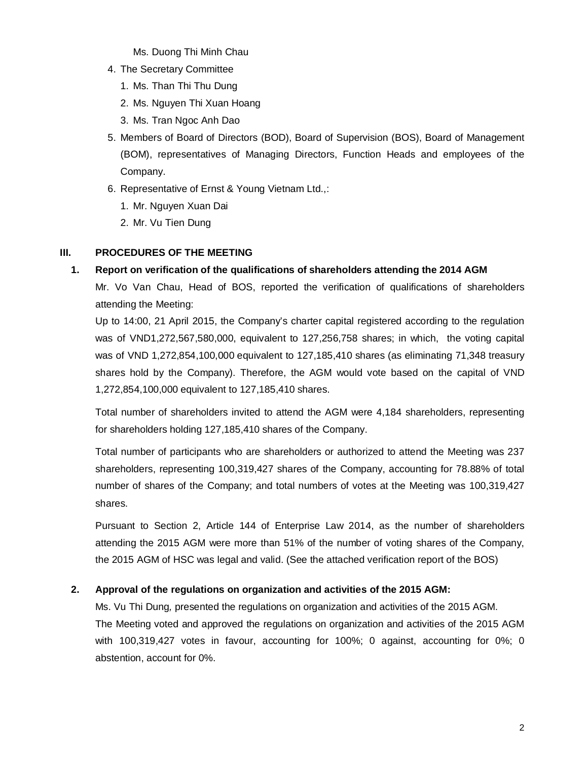Ms. Duong Thi Minh Chau

- 4. The Secretary Committee
	- 1. Ms. Than Thi Thu Dung
	- 2. Ms. Nguyen Thi Xuan Hoang
	- 3. Ms. Tran Ngoc Anh Dao
- 5. Members of Board of Directors (BOD), Board of Supervision (BOS), Board of Management (BOM), representatives of Managing Directors, Function Heads and employees of the Company.
- 6. Representative of Ernst & Young Vietnam Ltd.,:
	- 1. Mr. Nguyen Xuan Dai
	- 2. Mr. Vu Tien Dung

# **III. PROCEDURES OF THE MEETING**

# **1. Report on verification of the qualifications of shareholders attending the 2014 AGM**

Mr. Vo Van Chau, Head of BOS, reported the verification of qualifications of shareholders attending the Meeting:

Up to 14:00, 21 April 2015, the Company's charter capital registered according to the regulation was of VND1,272,567,580,000, equivalent to 127,256,758 shares; in which, the voting capital was of VND 1,272,854,100,000 equivalent to 127,185,410 shares (as eliminating 71,348 treasury shares hold by the Company). Therefore, the AGM would vote based on the capital of VND 1,272,854,100,000 equivalent to 127,185,410 shares.

Total number of shareholders invited to attend the AGM were 4,184 shareholders, representing for shareholders holding 127,185,410 shares of the Company.

Total number of participants who are shareholders or authorized to attend the Meeting was 237 shareholders, representing 100,319,427 shares of the Company, accounting for 78.88% of total number of shares of the Company; and total numbers of votes at the Meeting was 100,319,427 shares.

Pursuant to Section 2, Article 144 of Enterprise Law 2014, as the number of shareholders attending the 2015 AGM were more than 51% of the number of voting shares of the Company, the 2015 AGM of HSC was legal and valid. (See the attached verification report of the BOS)

# **2. Approval of the regulations on organization and activities of the 2015 AGM:**

Ms. Vu Thi Dung*,* presented the regulations on organization and activities of the 2015 AGM. The Meeting voted and approved the regulations on organization and activities of the 2015 AGM with 100,319,427 votes in favour, accounting for 100%; 0 against, accounting for 0%; 0 abstention, account for 0%.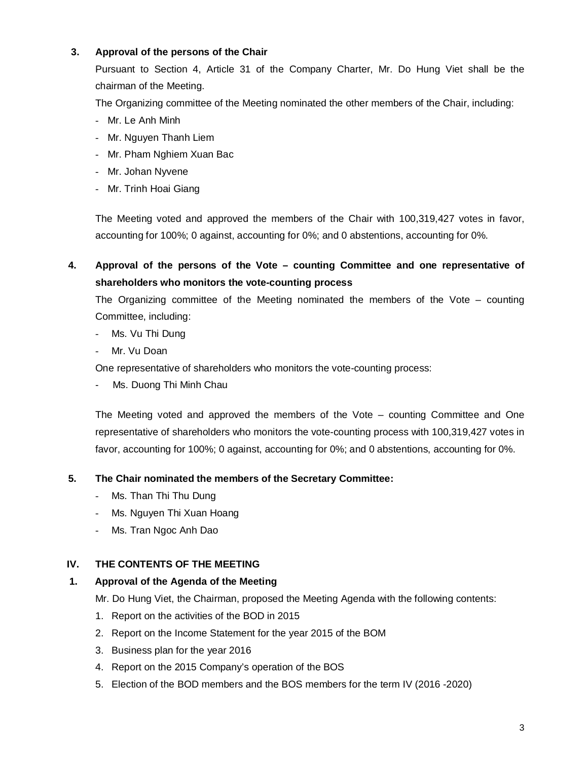# **3. Approval of the persons of the Chair**

Pursuant to Section 4, Article 31 of the Company Charter, Mr. Do Hung Viet shall be the chairman of the Meeting.

The Organizing committee of the Meeting nominated the other members of the Chair, including:

- Mr. Le Anh Minh
- Mr. Nguyen Thanh Liem
- Mr. Pham Nghiem Xuan Bac
- Mr. Johan Nyvene
- Mr. Trinh Hoai Giang

The Meeting voted and approved the members of the Chair with 100,319,427 votes in favor, accounting for 100%; 0 against, accounting for 0%; and 0 abstentions, accounting for 0%.

**4. Approval of the persons of the Vote – counting Committee and one representative of shareholders who monitors the vote-counting process**

The Organizing committee of the Meeting nominated the members of the Vote – counting Committee, including:

- Ms. Vu Thi Dung
- Mr. Vu Doan

One representative of shareholders who monitors the vote-counting process:

Ms. Duong Thi Minh Chau

The Meeting voted and approved the members of the Vote – counting Committee and One representative of shareholders who monitors the vote-counting process with 100,319,427 votes in favor, accounting for 100%; 0 against, accounting for 0%; and 0 abstentions, accounting for 0%.

# **5. The Chair nominated the members of the Secretary Committee:**

- Ms. Than Thi Thu Dung
- Ms. Nguyen Thi Xuan Hoang
- Ms. Tran Ngoc Anh Dao

# **IV. THE CONTENTS OF THE MEETING**

# **1. Approval of the Agenda of the Meeting**

Mr. Do Hung Viet, the Chairman, proposed the Meeting Agenda with the following contents:

- 1. Report on the activities of the BOD in 2015
- 2. Report on the Income Statement for the year 2015 of the BOM
- 3. Business plan for the year 2016
- 4. Report on the 2015 Company's operation of the BOS
- 5. Election of the BOD members and the BOS members for the term IV (2016 -2020)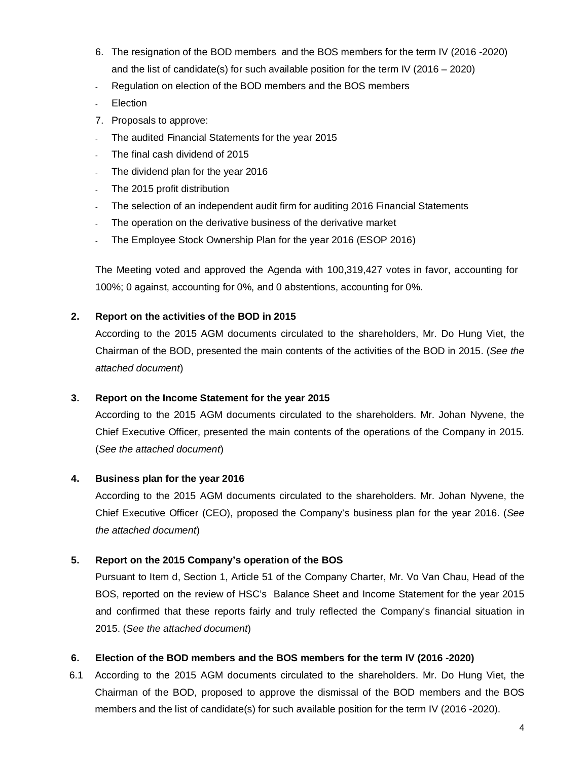- 6. The resignation of the BOD members and the BOS members for the term IV (2016 -2020) and the list of candidate(s) for such available position for the term IV (2016 – 2020)
- Regulation on election of the BOD members and the BOS members
- **Election**
- 7. Proposals to approve:
- The audited Financial Statements for the year 2015
- The final cash dividend of 2015
- The dividend plan for the year 2016
- The 2015 profit distribution
- The selection of an independent audit firm for auditing 2016 Financial Statements
- The operation on the derivative business of the derivative market
- The Employee Stock Ownership Plan for the year 2016 (ESOP 2016)

The Meeting voted and approved the Agenda with 100,319,427 votes in favor, accounting for 100%; 0 against, accounting for 0%, and 0 abstentions, accounting for 0%.

### **2. Report on the activities of the BOD in 2015**

According to the 2015 AGM documents circulated to the shareholders, Mr. Do Hung Viet, the Chairman of the BOD, presented the main contents of the activities of the BOD in 2015. (*See the attached document*)

### **3. Report on the Income Statement for the year 2015**

According to the 2015 AGM documents circulated to the shareholders. Mr. Johan Nyvene, the Chief Executive Officer, presented the main contents of the operations of the Company in 2015. (*See the attached document*)

### **4. Business plan for the year 2016**

According to the 2015 AGM documents circulated to the shareholders. Mr. Johan Nyvene, the Chief Executive Officer (CEO), proposed the Company's business plan for the year 2016. (*See the attached document*)

# **5. Report on the 2015 Company's operation of the BOS**

Pursuant to Item d, Section 1, Article 51 of the Company Charter, Mr. Vo Van Chau, Head of the BOS, reported on the review of HSC's Balance Sheet and Income Statement for the year 2015 and confirmed that these reports fairly and truly reflected the Company's financial situation in 2015. (*See the attached document*)

### **6. Election of the BOD members and the BOS members for the term IV (2016 -2020)**

6.1 According to the 2015 AGM documents circulated to the shareholders. Mr. Do Hung Viet, the Chairman of the BOD, proposed to approve the dismissal of the BOD members and the BOS members and the list of candidate(s) for such available position for the term IV (2016 -2020).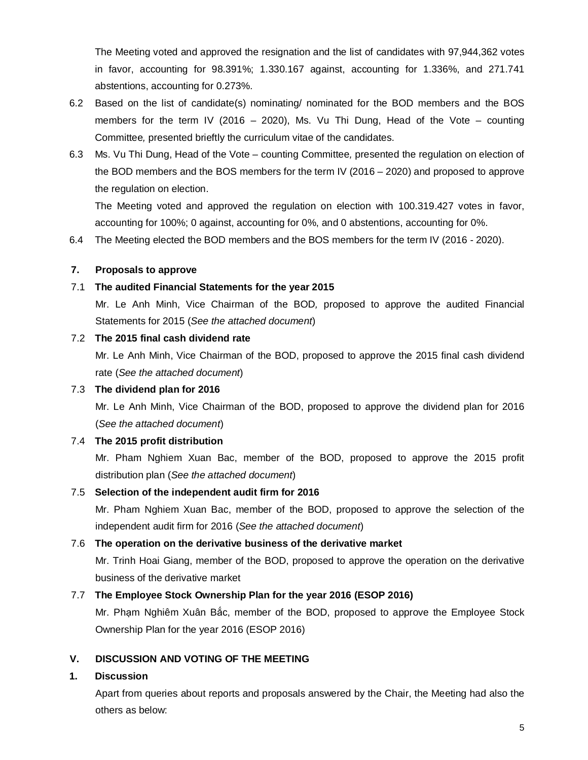The Meeting voted and approved the resignation and the list of candidates with 97,944,362 votes in favor, accounting for 98.391%; 1.330.167 against, accounting for 1.336%, and 271.741 abstentions, accounting for 0.273%.

- 6.2 Based on the list of candidate(s) nominating/ nominated for the BOD members and the BOS members for the term IV (2016 – 2020), Ms. Vu Thi Dung, Head of the Vote – counting Committee*,* presented brieftly the curriculum vitae of the candidates.
- 6.3 Ms. Vu Thi Dung, Head of the Vote counting Committee*,* presented the regulation on election of the BOD members and the BOS members for the term IV (2016 – 2020) and proposed to approve the regulation on election.

The Meeting voted and approved the regulation on election with 100.319.427 votes in favor, accounting for 100%; 0 against, accounting for 0%, and 0 abstentions, accounting for 0%.

6.4 The Meeting elected the BOD members and the BOS members for the term IV (2016 - 2020).

### **7. Proposals to approve**

### 7.1 **The audited Financial Statements for the year 2015**

Mr. Le Anh Minh, Vice Chairman of the BOD*,* proposed to approve the audited Financial Statements for 2015 (*See the attached document*)

### 7.2 **The 2015 final cash dividend rate**

Mr. Le Anh Minh, Vice Chairman of the BOD, proposed to approve the 2015 final cash dividend rate (*See the attached document*)

# 7.3 **The dividend plan for 2016**

Mr. Le Anh Minh, Vice Chairman of the BOD, proposed to approve the dividend plan for 2016 (*See the attached document*)

# 7.4 **The 2015 profit distribution**

Mr. Pham Nghiem Xuan Bac, member of the BOD, proposed to approve the 2015 profit distribution plan (*See the attached document*)

### 7.5 **Selection of the independent audit firm for 2016**

Mr. Pham Nghiem Xuan Bac, member of the BOD, proposed to approve the selection of the independent audit firm for 2016 (*See the attached document*)

### 7.6 **The operation on the derivative business of the derivative market**

Mr. Trinh Hoai Giang, member of the BOD, proposed to approve the operation on the derivative business of the derivative market

### 7.7 **The Employee Stock Ownership Plan for the year 2016 (ESOP 2016)**

Mr. Phạm Nghiêm Xuân Bắc, member of the BOD, proposed to approve the Employee Stock Ownership Plan for the year 2016 (ESOP 2016)

### **V. DISCUSSION AND VOTING OF THE MEETING**

# **1. Discussion**

Apart from queries about reports and proposals answered by the Chair, the Meeting had also the others as below: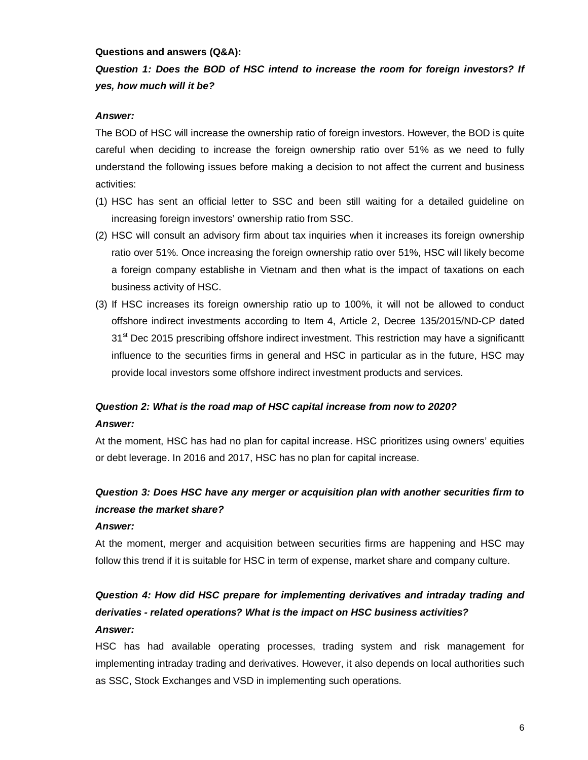#### **Questions and answers (Q&A):**

# *Question 1: Does the BOD of HSC intend to increase the room for foreign investors? If yes, how much will it be?*

### *Answer:*

The BOD of HSC will increase the ownership ratio of foreign investors. However, the BOD is quite careful when deciding to increase the foreign ownership ratio over 51% as we need to fully understand the following issues before making a decision to not affect the current and business activities:

- (1) HSC has sent an official letter to SSC and been still waiting for a detailed guideline on increasing foreign investors' ownership ratio from SSC.
- (2) HSC will consult an advisory firm about tax inquiries when it increases its foreign ownership ratio over 51%. Once increasing the foreign ownership ratio over 51%, HSC will likely become a foreign company establishe in Vietnam and then what is the impact of taxations on each business activity of HSC.
- (3) If HSC increases its foreign ownership ratio up to 100%, it will not be allowed to conduct offshore indirect investments according to Item 4, Article 2, Decree 135/2015/ND-CP dated 31<sup>st</sup> Dec 2015 prescribing offshore indirect investment. This restriction may have a significantt influence to the securities firms in general and HSC in particular as in the future, HSC may provide local investors some offshore indirect investment products and services.

# *Question 2: What is the road map of HSC capital increase from now to 2020? Answer:*

At the moment, HSC has had no plan for capital increase. HSC prioritizes using owners' equities or debt leverage. In 2016 and 2017, HSC has no plan for capital increase.

# *Question 3: Does HSC have any merger or acquisition plan with another securities firm to increase the market share?*

### *Answer:*

At the moment, merger and acquisition between securities firms are happening and HSC may follow this trend if it is suitable for HSC in term of expense, market share and company culture.

# *Question 4: How did HSC prepare for implementing derivatives and intraday trading and derivaties - related operations? What is the impact on HSC business activities? Answer:*

HSC has had available operating processes, trading system and risk management for implementing intraday trading and derivatives. However, it also depends on local authorities such as SSC, Stock Exchanges and VSD in implementing such operations.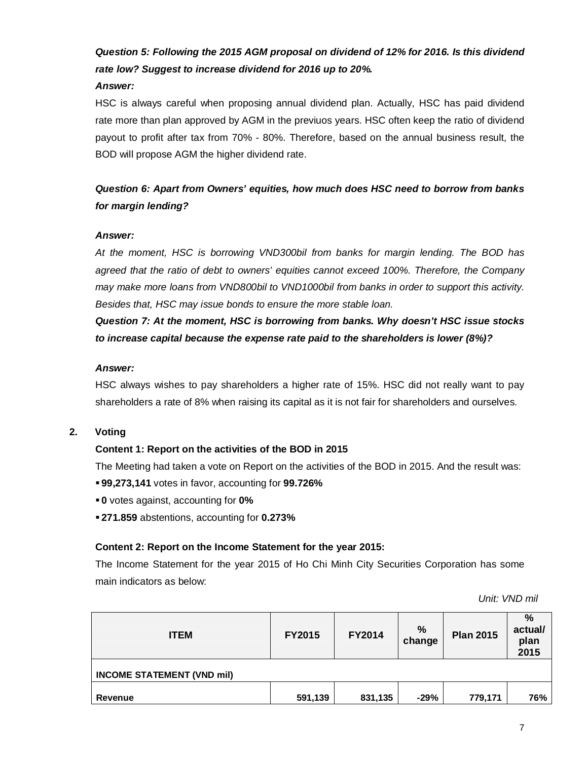# *Question 5: Following the 2015 AGM proposal on dividend of 12% for 2016. Is this dividend rate low? Suggest to increase dividend for 2016 up to 20%. Answer:*

HSC is always careful when proposing annual dividend plan. Actually, HSC has paid dividend rate more than plan approved by AGM in the previuos years. HSC often keep the ratio of dividend payout to profit after tax from 70% - 80%. Therefore, based on the annual business result, the BOD will propose AGM the higher dividend rate.

# *Question 6: Apart from Owners' equities, how much does HSC need to borrow from banks for margin lending?*

### *Answer:*

*At the moment, HSC is borrowing VND300bil from banks for margin lending. The BOD has agreed that the ratio of debt to owners' equities cannot exceed 100%. Therefore, the Company may make more loans from VND800bil to VND1000bil from banks in order to support this activity. Besides that, HSC may issue bonds to ensure the more stable loan.* 

*Question 7: At the moment, HSC is borrowing from banks. Why doesn't HSC issue stocks to increase capital because the expense rate paid to the shareholders is lower (8%)?*

#### *Answer:*

HSC always wishes to pay shareholders a higher rate of 15%. HSC did not really want to pay shareholders a rate of 8% when raising its capital as it is not fair for shareholders and ourselves.

### **2. Voting**

# **Content 1: Report on the activities of the BOD in 2015**

The Meeting had taken a vote on Report on the activities of the BOD in 2015. And the result was:

- **99,273,141** votes in favor, accounting for **99.726%**
- **0** votes against, accounting for **0%**
- **271.859** abstentions, accounting for **0.273%**

### **Content 2: Report on the Income Statement for the year 2015:**

The Income Statement for the year 2015 of Ho Chi Minh City Securities Corporation has some main indicators as below:

*Unit: VND mil*

| <b>ITEM</b>                       | <b>FY2015</b> | <b>FY2014</b> | %<br>change | <b>Plan 2015</b> | %<br>actual/<br>plan<br>2015 |  |
|-----------------------------------|---------------|---------------|-------------|------------------|------------------------------|--|
| <b>INCOME STATEMENT (VND mil)</b> |               |               |             |                  |                              |  |
| Revenue                           | 591,139       | 831,135       | $-29%$      | 779,171          | 76%                          |  |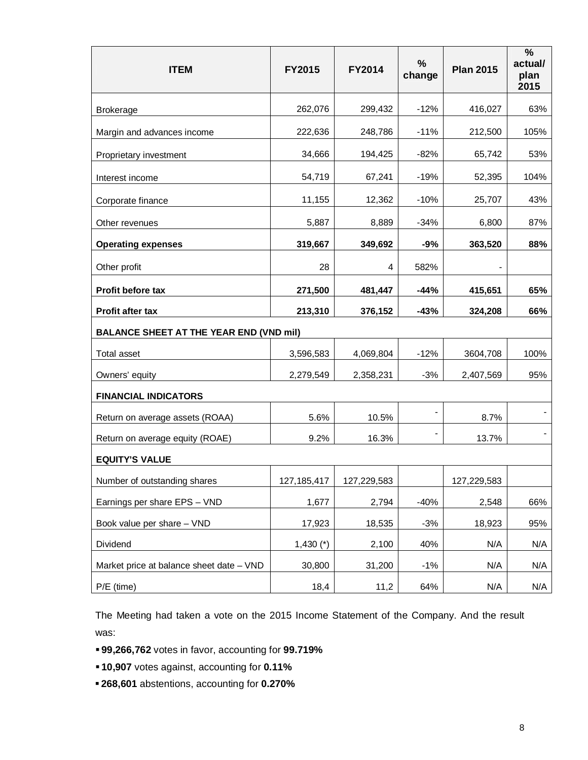| <b>ITEM</b>                                    | <b>FY2015</b> | <b>FY2014</b> | %<br>change    | <b>Plan 2015</b> | $\frac{0}{0}$<br>actual/<br>plan<br>2015 |
|------------------------------------------------|---------------|---------------|----------------|------------------|------------------------------------------|
| <b>Brokerage</b>                               | 262,076       | 299,432       | $-12%$         | 416,027          | 63%                                      |
| Margin and advances income                     | 222,636       | 248,786       | $-11%$         | 212,500          | 105%                                     |
| Proprietary investment                         | 34,666        | 194,425       | $-82%$         | 65,742           | 53%                                      |
| Interest income                                | 54,719        | 67,241        | $-19%$         | 52,395           | 104%                                     |
| Corporate finance                              | 11,155        | 12,362        | $-10%$         | 25,707           | 43%                                      |
| Other revenues                                 | 5,887         | 8,889         | $-34%$         | 6,800            | 87%                                      |
| <b>Operating expenses</b>                      | 319,667       | 349,692       | -9%            | 363,520          | 88%                                      |
| Other profit                                   | 28            | 4             | 582%           |                  |                                          |
| <b>Profit before tax</b>                       | 271,500       | 481,447       | -44%           | 415,651          | 65%                                      |
| <b>Profit after tax</b>                        | 213,310       | 376,152       | $-43%$         | 324,208          | 66%                                      |
| <b>BALANCE SHEET AT THE YEAR END (VND mil)</b> |               |               |                |                  |                                          |
| <b>Total asset</b>                             | 3,596,583     | 4,069,804     | $-12%$         | 3604,708         | 100%                                     |
| Owners' equity                                 | 2,279,549     | 2,358,231     | $-3%$          | 2,407,569        | 95%                                      |
| <b>FINANCIAL INDICATORS</b>                    |               |               |                |                  |                                          |
| Return on average assets (ROAA)                | 5.6%          | 10.5%         | $\blacksquare$ | 8.7%             |                                          |
| Return on average equity (ROAE)                | 9.2%          | 16.3%         |                | 13.7%            |                                          |
| <b>EQUITY'S VALUE</b>                          |               |               |                |                  |                                          |
| Number of outstanding shares                   | 127, 185, 417 | 127,229,583   |                | 127,229,583      |                                          |
| Earnings per share EPS - VND                   | 1,677         | 2,794         | $-40%$         | 2,548            | 66%                                      |
| Book value per share - VND                     | 17,923        | 18,535        | $-3%$          | 18,923           | 95%                                      |
| Dividend                                       | $1,430$ (*)   | 2,100         | 40%            | N/A              | N/A                                      |
| Market price at balance sheet date - VND       | 30,800        | 31,200        | $-1%$          | N/A              | N/A                                      |
| $P/E$ (time)                                   | 18,4          | 11,2          | 64%            | N/A              | N/A                                      |

The Meeting had taken a vote on the 2015 Income Statement of the Company. And the result was:

- **99,266,762** votes in favor, accounting for **99.719%**
- **10,907** votes against, accounting for **0.11%**
- **268,601** abstentions, accounting for **0.270%**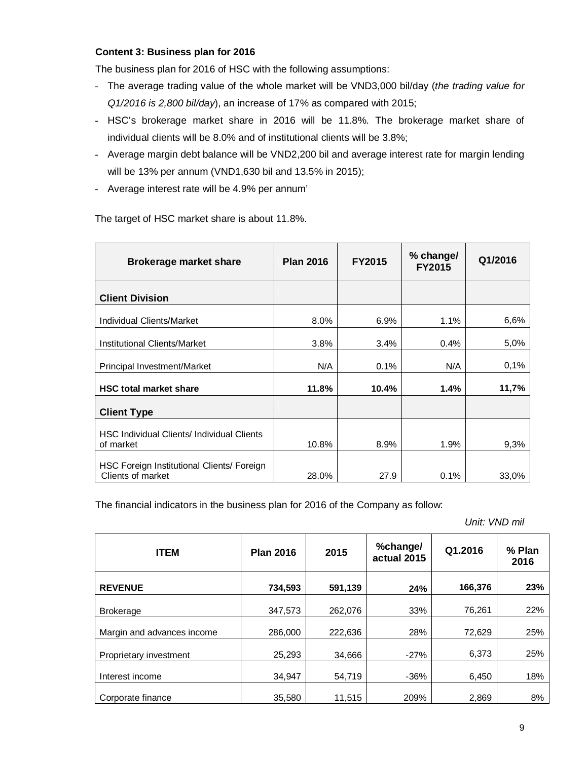### **Content 3: Business plan for 2016**

The business plan for 2016 of HSC with the following assumptions:

- The average trading value of the whole market will be VND3,000 bil/day (*the trading value for Q1/2016 is 2,800 bil/day*), an increase of 17% as compared with 2015;
- HSC's brokerage market share in 2016 will be 11.8%. The brokerage market share of individual clients will be 8.0% and of institutional clients will be 3.8%;
- Average margin debt balance will be VND2,200 bil and average interest rate for margin lending will be 13% per annum (VND1,630 bil and 13.5% in 2015);
- Average interest rate will be 4.9% per annum'

| <b>Brokerage market share</b>                                   | <b>Plan 2016</b> | <b>FY2015</b> | % change/<br><b>FY2015</b> | Q1/2016 |
|-----------------------------------------------------------------|------------------|---------------|----------------------------|---------|
| <b>Client Division</b>                                          |                  |               |                            |         |
| <b>Individual Clients/Market</b>                                | 8.0%             | 6.9%          | 1.1%                       | 6,6%    |
| <b>Institutional Clients/Market</b>                             | 3.8%             | 3.4%          | 0.4%                       | 5,0%    |
| Principal Investment/Market                                     | N/A              | 0.1%          | N/A                        | 0,1%    |
| <b>HSC total market share</b>                                   | 11.8%            | 10.4%         | 1.4%                       | 11,7%   |
| <b>Client Type</b>                                              |                  |               |                            |         |
| HSC Individual Clients/ Individual Clients<br>of market         | 10.8%            | 8.9%          | 1.9%                       | 9,3%    |
| HSC Foreign Institutional Clients/ Foreign<br>Clients of market | 28.0%            | 27.9          | 0.1%                       | 33,0%   |

The target of HSC market share is about 11.8%.

The financial indicators in the business plan for 2016 of the Company as follow:

*Unit: VND mil*

| <b>ITEM</b>                | <b>Plan 2016</b> | 2015    | %change/<br>actual 2015 | Q1.2016 | % Plan<br>2016 |
|----------------------------|------------------|---------|-------------------------|---------|----------------|
| <b>REVENUE</b>             | 734,593          | 591,139 | 24%                     | 166,376 | 23%            |
| <b>Brokerage</b>           | 347,573          | 262,076 | 33%                     | 76,261  | 22%            |
| Margin and advances income | 286,000          | 222,636 | 28%                     | 72,629  | 25%            |
| Proprietary investment     | 25,293           | 34,666  | $-27%$                  | 6,373   | 25%            |
| Interest income            | 34,947           | 54,719  | $-36%$                  | 6,450   | 18%            |
| Corporate finance          | 35,580           | 11,515  | 209%                    | 2,869   | 8%             |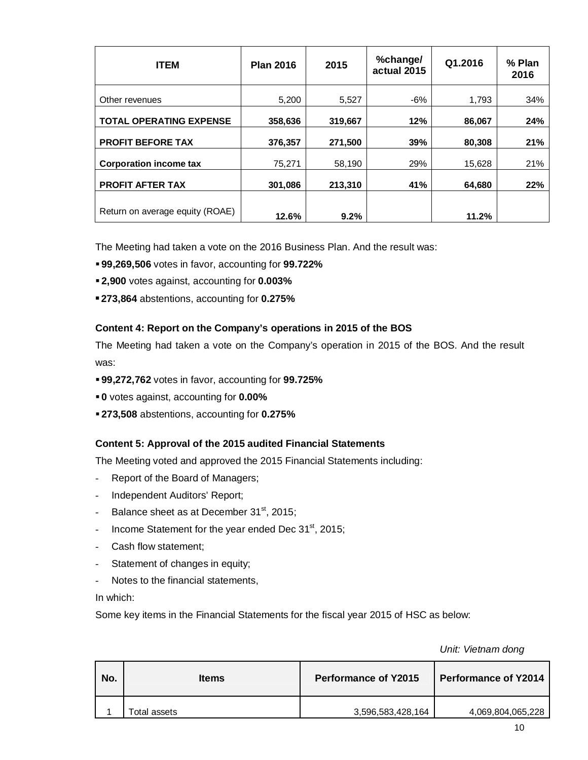| <b>ITEM</b>                     | <b>Plan 2016</b> | 2015    | %change/<br>actual 2015 | Q1.2016 | % Plan<br>2016 |
|---------------------------------|------------------|---------|-------------------------|---------|----------------|
| Other revenues                  | 5,200            | 5,527   | -6%                     | 1,793   | 34%            |
| <b>TOTAL OPERATING EXPENSE</b>  | 358,636          | 319,667 | 12%                     | 86,067  | 24%            |
| <b>PROFIT BEFORE TAX</b>        | 376,357          | 271,500 | 39%                     | 80,308  | 21%            |
| <b>Corporation income tax</b>   | 75,271           | 58,190  | 29%                     | 15,628  | 21%            |
| <b>PROFIT AFTER TAX</b>         | 301,086          | 213,310 | 41%                     | 64,680  | 22%            |
| Return on average equity (ROAE) | 12.6%            | 9.2%    |                         | 11.2%   |                |

The Meeting had taken a vote on the 2016 Business Plan. And the result was:

- **99,269,506** votes in favor, accounting for **99.722%**
- **2,900** votes against, accounting for **0.003%**
- **273,864** abstentions, accounting for **0.275%**

### **Content 4: Report on the Company's operations in 2015 of the BOS**

The Meeting had taken a vote on the Company's operation in 2015 of the BOS. And the result was:

- **99,272,762** votes in favor, accounting for **99.725%**
- **0** votes against, accounting for **0.00%**
- **273,508** abstentions, accounting for **0.275%**

# **Content 5: Approval of the 2015 audited Financial Statements**

The Meeting voted and approved the 2015 Financial Statements including:

- Report of the Board of Managers;
- Independent Auditors' Report;
- Balance sheet as at December 31<sup>st</sup>, 2015;
- Income Statement for the year ended Dec  $31<sup>st</sup>$ , 2015;
- Cash flow statement;
- Statement of changes in equity;
- Notes to the financial statements,

In which:

Some key items in the Financial Statements for the fiscal year 2015 of HSC as below:

*Unit: Vietnam dong*

| No. | <b>Items</b> | <b>Performance of Y2015</b> | <b>Performance of Y2014</b> |
|-----|--------------|-----------------------------|-----------------------------|
|     | Total assets | 3,596,583,428,164           | 4,069,804,065,228           |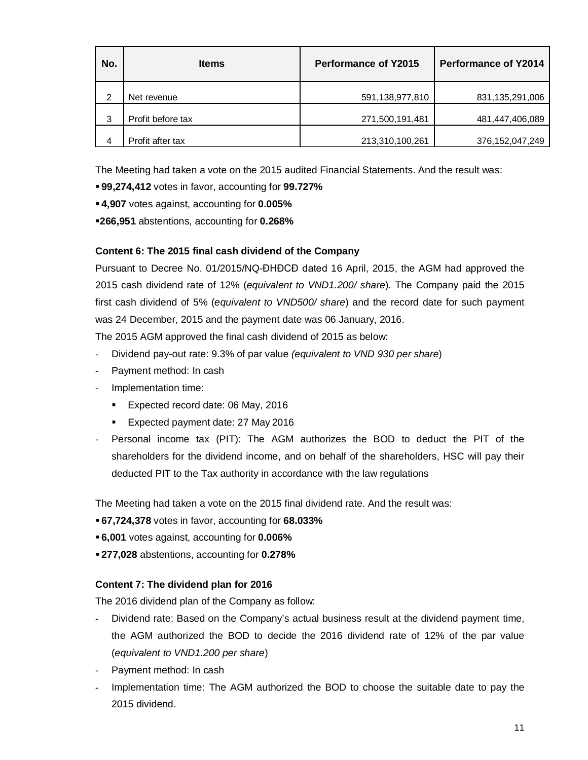| No. | <b>Items</b>      | <b>Performance of Y2015</b> | <b>Performance of Y2014</b> |
|-----|-------------------|-----------------------------|-----------------------------|
| 2   | Net revenue       | 591,138,977,810             | 831,135,291,006             |
| 3   | Profit before tax | 271,500,191,481             | 481,447,406,089             |
| 4   | Profit after tax  | 213,310,100,261             | 376, 152, 047, 249          |

The Meeting had taken a vote on the 2015 audited Financial Statements. And the result was:

**99,274,412** votes in favor, accounting for **99.727%**

**4,907** votes against, accounting for **0.005%**

**266,951** abstentions, accounting for **0.268%**

### **Content 6: The 2015 final cash dividend of the Company**

Pursuant to Decree No. 01/2015/NQ-ĐHĐCĐ dated 16 April, 2015, the AGM had approved the 2015 cash dividend rate of 12% (*equivalent to VND1.200/ share*). The Company paid the 2015 first cash dividend of 5% (*equivalent to VND500/ share*) and the record date for such payment was 24 December, 2015 and the payment date was 06 January, 2016.

The 2015 AGM approved the final cash dividend of 2015 as below:

- Dividend pay-out rate: 9.3% of par value *(equivalent to VND 930 per share*)
- Payment method: In cash
- Implementation time:
	- **Expected record date: 06 May, 2016**
	- **Expected payment date: 27 May 2016**
- Personal income tax (PIT): The AGM authorizes the BOD to deduct the PIT of the shareholders for the dividend income, and on behalf of the shareholders, HSC will pay their deducted PIT to the Tax authority in accordance with the law regulations

The Meeting had taken a vote on the 2015 final dividend rate. And the result was:

- **67,724,378** votes in favor, accounting for **68.033%**
- **6,001** votes against, accounting for **0.006%**
- **277,028** abstentions, accounting for **0.278%**

### **Content 7: The dividend plan for 2016**

The 2016 dividend plan of the Company as follow:

- Dividend rate: Based on the Company's actual business result at the dividend payment time, the AGM authorized the BOD to decide the 2016 dividend rate of 12% of the par value (*equivalent to VND1.200 per share*)
- Payment method: In cash
- Implementation time: The AGM authorized the BOD to choose the suitable date to pay the 2015 dividend.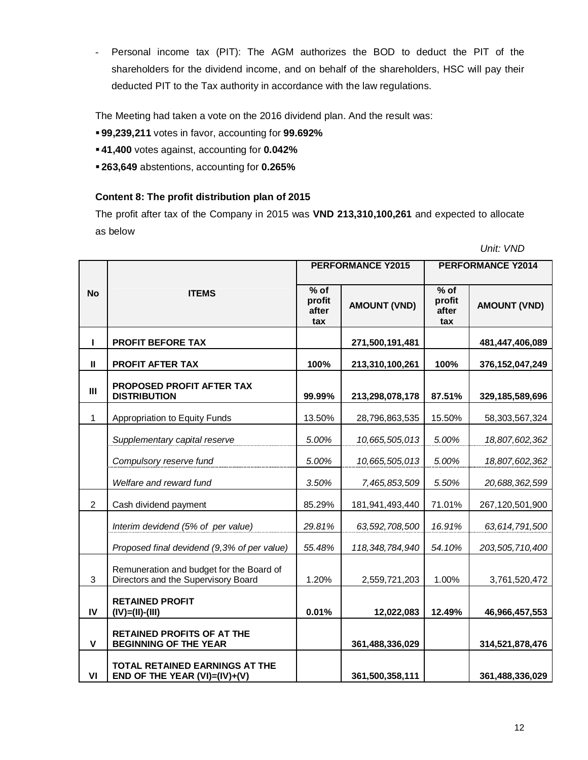- Personal income tax (PIT): The AGM authorizes the BOD to deduct the PIT of the shareholders for the dividend income, and on behalf of the shareholders, HSC will pay their deducted PIT to the Tax authority in accordance with the law regulations.

The Meeting had taken a vote on the 2016 dividend plan. And the result was:

- **99,239,211** votes in favor, accounting for **99.692%**
- **41,400** votes against, accounting for **0.042%**
- **263,649** abstentions, accounting for **0.265%**

### **Content 8: The profit distribution plan of 2015**

The profit after tax of the Company in 2015 was **VND 213,310,100,261** and expected to allocate as below

*Unit: VND*

|                |                                                                                 | <b>PERFORMANCE Y2015</b>         |                     | <b>PERFORMANCE Y2014</b>         |                     |  |
|----------------|---------------------------------------------------------------------------------|----------------------------------|---------------------|----------------------------------|---------------------|--|
| <b>No</b>      | <b>ITEMS</b>                                                                    | $%$ of<br>profit<br>after<br>tax | <b>AMOUNT (VND)</b> | $%$ of<br>profit<br>after<br>tax | <b>AMOUNT (VND)</b> |  |
| п              | <b>PROFIT BEFORE TAX</b>                                                        |                                  | 271,500,191,481     |                                  | 481,447,406,089     |  |
| $\mathbf{u}$   | <b>PROFIT AFTER TAX</b>                                                         | 100%                             | 213,310,100,261     | 100%                             | 376, 152, 047, 249  |  |
| $\mathbf{III}$ | <b>PROPOSED PROFIT AFTER TAX</b><br><b>DISTRIBUTION</b>                         | 99.99%                           | 213,298,078,178     | 87.51%                           | 329,185,589,696     |  |
| $\mathbf{1}$   | Appropriation to Equity Funds                                                   | 13.50%                           | 28,796,863,535      | 15.50%                           | 58,303,567,324      |  |
|                | Supplementary capital reserve                                                   | 5.00%                            | 10,665,505,013      | 5.00%                            | 18,807,602,362      |  |
|                | Compulsory reserve fund                                                         | 5.00%                            | 10,665,505,013      | 5.00%                            | 18,807,602,362      |  |
|                | Welfare and reward fund                                                         | 3.50%                            | 7,465,853,509       | 5.50%                            | 20,688,362,599      |  |
| $\overline{2}$ | Cash dividend payment                                                           | 85.29%                           | 181,941,493,440     | 71.01%                           | 267,120,501,900     |  |
|                | Interim devidend (5% of per value)                                              | 29.81%                           | 63,592,708,500      | 16.91%                           | 63,614,791,500      |  |
|                | Proposed final devidend (9,3% of per value)                                     | 55.48%                           | 118, 348, 784, 940  | 54.10%                           | 203,505,710,400     |  |
| 3              | Remuneration and budget for the Board of<br>Directors and the Supervisory Board | 1.20%                            | 2,559,721,203       | 1.00%                            | 3,761,520,472       |  |
| IV             | <b>RETAINED PROFIT</b><br>$(IV)=(II)-(III)$                                     | 0.01%                            | 12,022,083          | 12.49%                           | 46,966,457,553      |  |
| $\mathbf{V}$   | <b>RETAINED PROFITS OF AT THE</b><br><b>BEGINNING OF THE YEAR</b>               |                                  | 361,488,336,029     |                                  | 314,521,878,476     |  |
| VI             | <b>TOTAL RETAINED EARNINGS AT THE</b><br>END OF THE YEAR (VI)=(IV)+(V)          |                                  | 361,500,358,111     |                                  | 361,488,336,029     |  |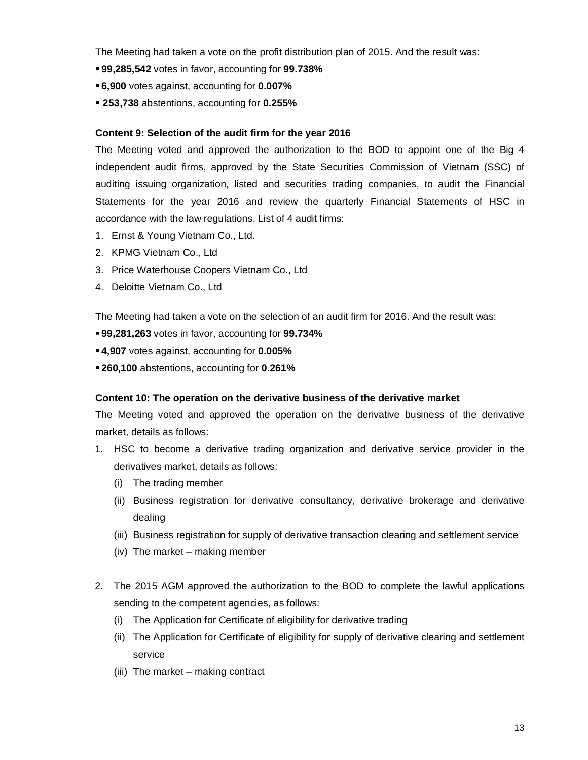The Meeting had taken a vote on the profit distribution plan of 2015. And the result was:

- **99,285,542** votes in favor, accounting for **99.738%**
- **6,900** votes against, accounting for **0.007%**
- **253,738** abstentions, accounting for **0.255%**

### **Content 9: Selection of the audit firm for the year 2016**

The Meeting voted and approved the authorization to the BOD to appoint one of the Big 4 independent audit firms, approved by the State Securities Commission of Vietnam (SSC) of auditing issuing organization, listed and securities trading companies, to audit the Financial Statements for the year 2016 and review the quarterly Financial Statements of HSC in accordance with the law regulations. List of 4 audit firms:

- 1. Ernst & Young Vietnam Co., Ltd.
- 2. KPMG Vietnam Co., Ltd
- 3. Price Waterhouse Coopers Vietnam Co., Ltd
- 4. Deloitte Vietnam Co., Ltd

The Meeting had taken a vote on the selection of an audit firm for 2016. And the result was:

- **99,281,263** votes in favor, accounting for **99.734%**
- **4,907** votes against, accounting for **0.005%**
- **260,100** abstentions, accounting for **0.261%**

### **Content 10: The operation on the derivative business of the derivative market**

The Meeting voted and approved the operation on the derivative business of the derivative market, details as follows:

- 1. HSC to become a derivative trading organization and derivative service provider in the derivatives market, details as follows:
	- (i) The trading member
	- (ii) Business registration for derivative consultancy, derivative brokerage and derivative dealing
	- (iii) Business registration for supply of derivative transaction clearing and settlement service
	- (iv) The market making member
- 2. The 2015 AGM approved the authorization to the BOD to complete the lawful applications sending to the competent agencies, as follows:
	- (i) The Application for Certificate of eligibility for derivative trading
	- (ii) The Application for Certificate of eligibility for supply of derivative clearing and settlement service
	- (iii) The market making contract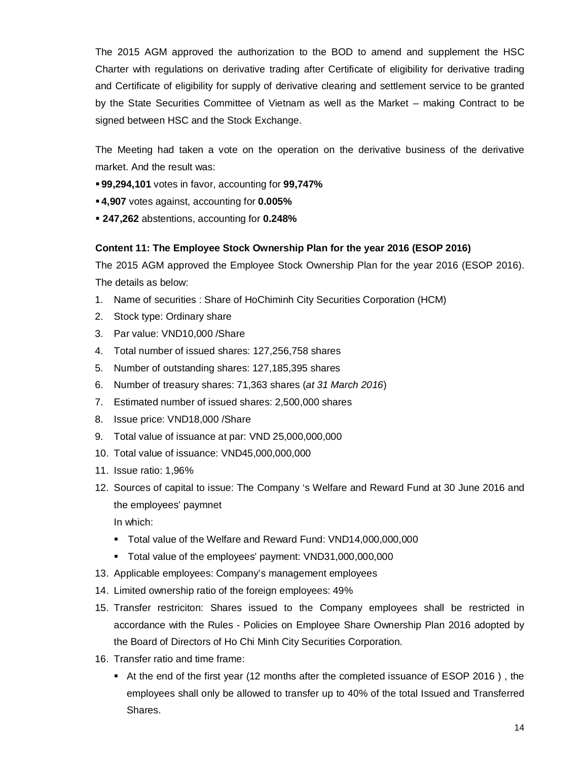The 2015 AGM approved the authorization to the BOD to amend and supplement the HSC Charter with regulations on derivative trading after Certificate of eligibility for derivative trading and Certificate of eligibility for supply of derivative clearing and settlement service to be granted by the State Securities Committee of Vietnam as well as the Market – making Contract to be signed between HSC and the Stock Exchange.

The Meeting had taken a vote on the operation on the derivative business of the derivative market. And the result was:

- **99,294,101** votes in favor, accounting for **99,747%**
- **4,907** votes against, accounting for **0.005%**
- **247,262** abstentions, accounting for **0.248%**

### **Content 11: The Employee Stock Ownership Plan for the year 2016 (ESOP 2016)**

The 2015 AGM approved the Employee Stock Ownership Plan for the year 2016 (ESOP 2016). The details as below:

- 1. Name of securities : Share of HoChiminh City Securities Corporation (HCM)
- 2. Stock type: Ordinary share
- 3. Par value: VND10,000 /Share
- 4. Total number of issued shares: 127,256,758 shares
- 5. Number of outstanding shares: 127,185,395 shares
- 6. Number of treasury shares: 71,363 shares (*at 31 March 2016*)
- 7. Estimated number of issued shares: 2,500,000 shares
- 8. Issue price: VND18,000 /Share
- 9. Total value of issuance at par: VND 25,000,000,000
- 10. Total value of issuance: VND45,000,000,000
- 11. Issue ratio: 1,96%
- 12. Sources of capital to issue: The Company 's Welfare and Reward Fund at 30 June 2016 and the employees' paymnet

In which:

- Total value of the Welfare and Reward Fund: VND14,000,000,000
- Total value of the employees' payment: VND31,000,000,000
- 13. Applicable employees: Company's management employees
- 14. Limited ownership ratio of the foreign employees: 49%
- 15. Transfer restriciton: Shares issued to the Company employees shall be restricted in accordance with the Rules - Policies on Employee Share Ownership Plan 2016 adopted by the Board of Directors of Ho Chi Minh City Securities Corporation.
- 16. Transfer ratio and time frame:
	- At the end of the first year (12 months after the completed issuance of ESOP 2016 ) , the employees shall only be allowed to transfer up to 40% of the total Issued and Transferred Shares.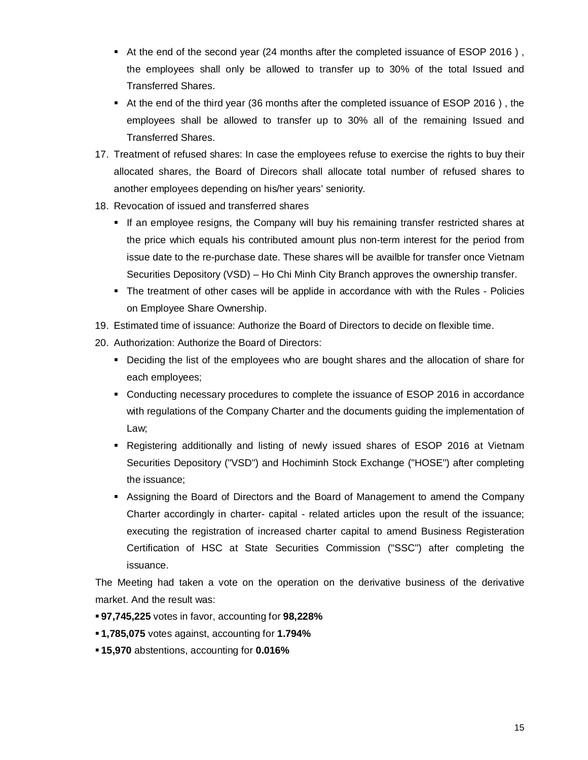- At the end of the second year (24 months after the completed issuance of ESOP 2016), the employees shall only be allowed to transfer up to 30% of the total Issued and Transferred Shares.
- At the end of the third year (36 months after the completed issuance of ESOP 2016 ) , the employees shall be allowed to transfer up to 30% all of the remaining Issued and Transferred Shares.
- 17. Treatment of refused shares: In case the employees refuse to exercise the rights to buy their allocated shares, the Board of Direcors shall allocate total number of refused shares to another employees depending on his/her years' seniority.
- 18. Revocation of issued and transferred shares
	- If an employee resigns, the Company will buy his remaining transfer restricted shares at the price which equals his contributed amount plus non-term interest for the period from issue date to the re-purchase date. These shares will be availble for transfer once Vietnam Securities Depository (VSD) – Ho Chi Minh City Branch approves the ownership transfer.
	- The treatment of other cases will be applide in accordance with with the Rules Policies on Employee Share Ownership.
- 19. Estimated time of issuance: Authorize the Board of Directors to decide on flexible time.
- 20. Authorization: Authorize the Board of Directors:
	- Deciding the list of the employees who are bought shares and the allocation of share for each employees;
	- Conducting necessary procedures to complete the issuance of ESOP 2016 in accordance with regulations of the Company Charter and the documents guiding the implementation of Law;
	- Registering additionally and listing of newly issued shares of ESOP 2016 at Vietnam Securities Depository ("VSD") and Hochiminh Stock Exchange ("HOSE") after completing the issuance;
	- Assigning the Board of Directors and the Board of Management to amend the Company Charter accordingly in charter- capital - related articles upon the result of the issuance; executing the registration of increased charter capital to amend Business Registeration Certification of HSC at State Securities Commission ("SSC") after completing the issuance.

The Meeting had taken a vote on the operation on the derivative business of the derivative market. And the result was:

- **97,745,225** votes in favor, accounting for **98,228%**
- **1,785,075** votes against, accounting for **1.794%**
- **15,970** abstentions, accounting for **0.016%**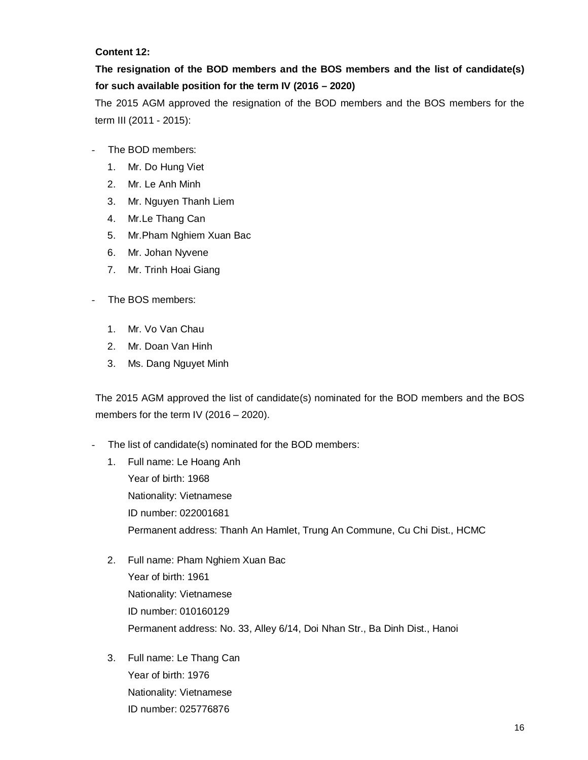### **Content 12:**

# **The resignation of the BOD members and the BOS members and the list of candidate(s) for such available position for the term IV (2016 – 2020)**

The 2015 AGM approved the resignation of the BOD members and the BOS members for the term III (2011 - 2015):

- The BOD members:
	- 1. Mr. Do Hung Viet
	- 2. Mr. Le Anh Minh
	- 3. Mr. Nguyen Thanh Liem
	- 4. Mr.Le Thang Can
	- 5. Mr.Pham Nghiem Xuan Bac
	- 6. Mr. Johan Nyvene
	- 7. Mr. Trinh Hoai Giang
- The BOS members:
	- 1. Mr. Vo Van Chau
	- 2. Mr. Doan Van Hinh
	- 3. Ms. Dang Nguyet Minh

The 2015 AGM approved the list of candidate(s) nominated for the BOD members and the BOS members for the term IV (2016 – 2020).

- The list of candidate(s) nominated for the BOD members:
	- 1. Full name: Le Hoang Anh Year of birth: 1968 Nationality: Vietnamese ID number: 022001681 Permanent address: Thanh An Hamlet, Trung An Commune, Cu Chi Dist., HCMC
	- 2. Full name: Pham Nghiem Xuan Bac Year of birth: 1961 Nationality: Vietnamese ID number: 010160129 Permanent address: No. 33, Alley 6/14, Doi Nhan Str., Ba Dinh Dist., Hanoi
	- 3. Full name: Le Thang Can Year of birth: 1976 Nationality: Vietnamese ID number: 025776876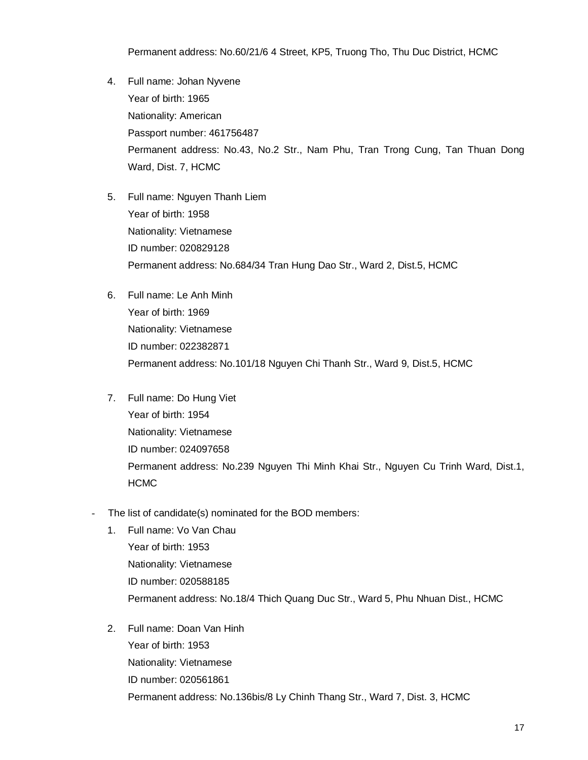Permanent address: No.60/21/6 4 Street, KP5, Truong Tho, Thu Duc District, HCMC

- 4. Full name: Johan Nyvene Year of birth: 1965 Nationality: American Passport number: 461756487 Permanent address: No.43, No.2 Str., Nam Phu, Tran Trong Cung, Tan Thuan Dong Ward, Dist. 7, HCMC
- 5. Full name: Nguyen Thanh Liem Year of birth: 1958 Nationality: Vietnamese ID number: 020829128 Permanent address: No.684/34 Tran Hung Dao Str., Ward 2, Dist.5, HCMC
- 6. Full name: Le Anh Minh Year of birth: 1969 Nationality: Vietnamese ID number: 022382871 Permanent address: No.101/18 Nguyen Chi Thanh Str., Ward 9, Dist.5, HCMC
- 7. Full name: Do Hung Viet Year of birth: 1954 Nationality: Vietnamese ID number: 024097658 Permanent address: No.239 Nguyen Thi Minh Khai Str., Nguyen Cu Trinh Ward, Dist.1, HCMC
- The list of candidate(s) nominated for the BOD members:
	- 1. Full name: Vo Van Chau Year of birth: 1953 Nationality: Vietnamese ID number: 020588185 Permanent address: No.18/4 Thich Quang Duc Str., Ward 5, Phu Nhuan Dist., HCMC
	- 2. Full name: Doan Van Hinh Year of birth: 1953 Nationality: Vietnamese ID number: 020561861 Permanent address: No.136bis/8 Ly Chinh Thang Str., Ward 7, Dist. 3, HCMC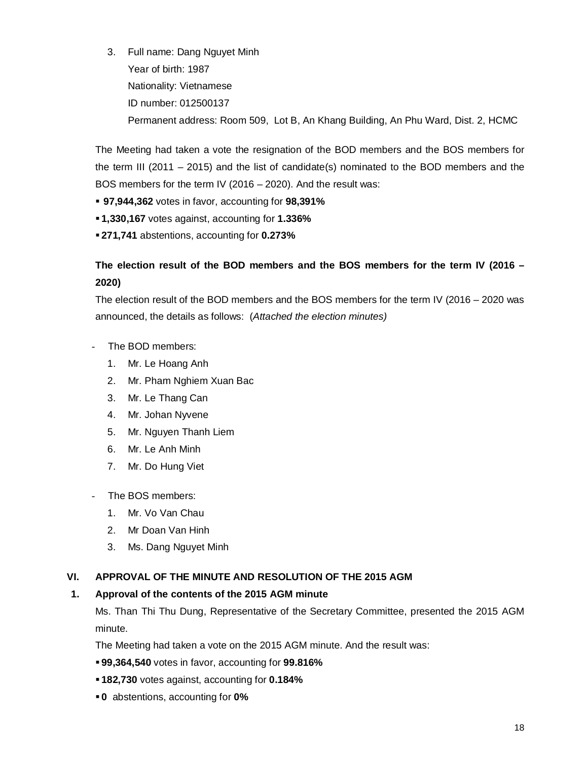3. Full name: Dang Nguyet Minh Year of birth: 1987 Nationality: Vietnamese ID number: 012500137 Permanent address: Room 509, Lot B, An Khang Building, An Phu Ward, Dist. 2, HCMC

The Meeting had taken a vote the resignation of the BOD members and the BOS members for the term III (2011 – 2015) and the list of candidate(s) nominated to the BOD members and the BOS members for the term IV (2016 – 2020). And the result was:

- **97,944,362** votes in favor, accounting for **98,391%**
- **1,330,167** votes against, accounting for **1.336%**
- **271,741** abstentions, accounting for **0.273%**

# **The election result of the BOD members and the BOS members for the term IV (2016 – 2020)**

The election result of the BOD members and the BOS members for the term IV (2016 – 2020 was announced, the details as follows: (*Attached the election minutes)*

- The BOD members:
	- 1. Mr. Le Hoang Anh
	- 2. Mr. Pham Nghiem Xuan Bac
	- 3. Mr. Le Thang Can
	- 4. Mr. Johan Nyvene
	- 5. Mr. Nguyen Thanh Liem
	- 6. Mr. Le Anh Minh
	- 7. Mr. Do Hung Viet
- The BOS members:
	- 1. Mr. Vo Van Chau
	- 2. Mr Doan Van Hinh
	- 3. Ms. Dang Nguyet Minh

### **VI. APPROVAL OF THE MINUTE AND RESOLUTION OF THE 2015 AGM**

### **1. Approval of the contents of the 2015 AGM minute**

Ms. Than Thi Thu Dung, Representative of the Secretary Committee, presented the 2015 AGM minute.

The Meeting had taken a vote on the 2015 AGM minute. And the result was:

- **99,364,540** votes in favor, accounting for **99.816%**
- **182,730** votes against, accounting for **0.184%**
- **0** abstentions, accounting for **0%**